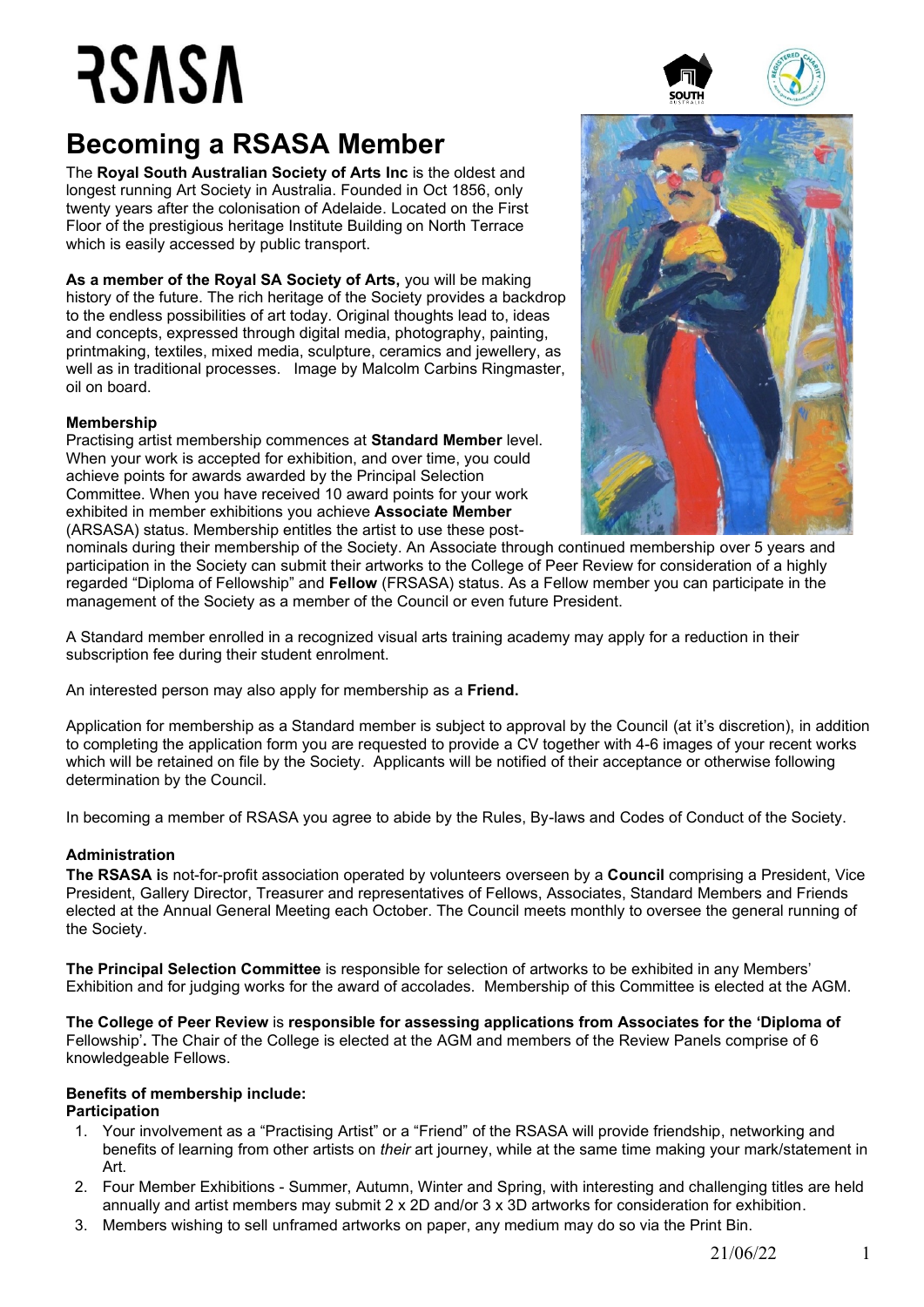# RSASA

### **Becoming a RSASA Member**

The **Royal South Australian Society of Arts Inc** is the oldest and longest running Art Society in Australia. Founded in Oct 1856, only twenty years after the colonisation of Adelaide. Located on the First Floor of the prestigious heritage Institute Building on North Terrace which is easily accessed by public transport.

**As a member of the Royal SA Society of Arts,** you will be making history of the future. The rich heritage of the Society provides a backdrop to the endless possibilities of art today. Original thoughts lead to, ideas and concepts, expressed through digital media, photography, painting, printmaking, textiles, mixed media, sculpture, ceramics and jewellery, as well as in traditional processes. Image by Malcolm Carbins Ringmaster, oil on board.

#### **Membership**

Practising artist membership commences at **Standard Member** level. When your work is accepted for exhibition, and over time, you could achieve points for awards awarded by the Principal Selection Committee. When you have received 10 award points for your work exhibited in member exhibitions you achieve **Associate Member** (ARSASA) status. Membership entitles the artist to use these post-



nominals during their membership of the Society. An Associate through continued membership over 5 years and participation in the Society can submit their artworks to the College of Peer Review for consideration of a highly regarded "Diploma of Fellowship" and **Fellow** (FRSASA) status. As a Fellow member you can participate in the management of the Society as a member of the Council or even future President.

A Standard member enrolled in a recognized visual arts training academy may apply for a reduction in their subscription fee during their student enrolment.

An interested person may also apply for membership as a **Friend.**

Application for membership as a Standard member is subject to approval by the Council (at it's discretion), in addition to completing the application form you are requested to provide a CV together with 4-6 images of your recent works which will be retained on file by the Society. Applicants will be notified of their acceptance or otherwise following determination by the Council.

In becoming a member of RSASA you agree to abide by the Rules, By-laws and Codes of Conduct of the Society.

#### **Administration**

**The RSASA i**s not-for-profit association operated by volunteers overseen by a **Council** comprising a President, Vice President, Gallery Director, Treasurer and representatives of Fellows, Associates, Standard Members and Friends elected at the Annual General Meeting each October. The Council meets monthly to oversee the general running of the Society.

**The Principal Selection Committee** is responsible for selection of artworks to be exhibited in any Members' Exhibition and for judging works for the award of accolades. Membership of this Committee is elected at the AGM.

**The College of Peer Review** is **responsible for assessing applications from Associates for the 'Diploma of**

Fellowship'**.** The Chair of the College is elected at the AGM and members of the Review Panels comprise of 6 knowledgeable Fellows.

#### **Benefits of membership include:**

#### **Participation**

- 1. Your involvement as a "Practising Artist" or a "Friend" of the RSASA will provide friendship, networking and benefits of learning from other artists on *their* art journey, while at the same time making your mark/statement in Art.
- 2. Four Member Exhibitions Summer, Autumn, Winter and Spring, with interesting and challenging titles are held annually and artist members may submit 2 x 2D and/or 3 x 3D artworks for consideration for exhibition.
- 3. Members wishing to sell unframed artworks on paper, any medium may do so via the Print Bin.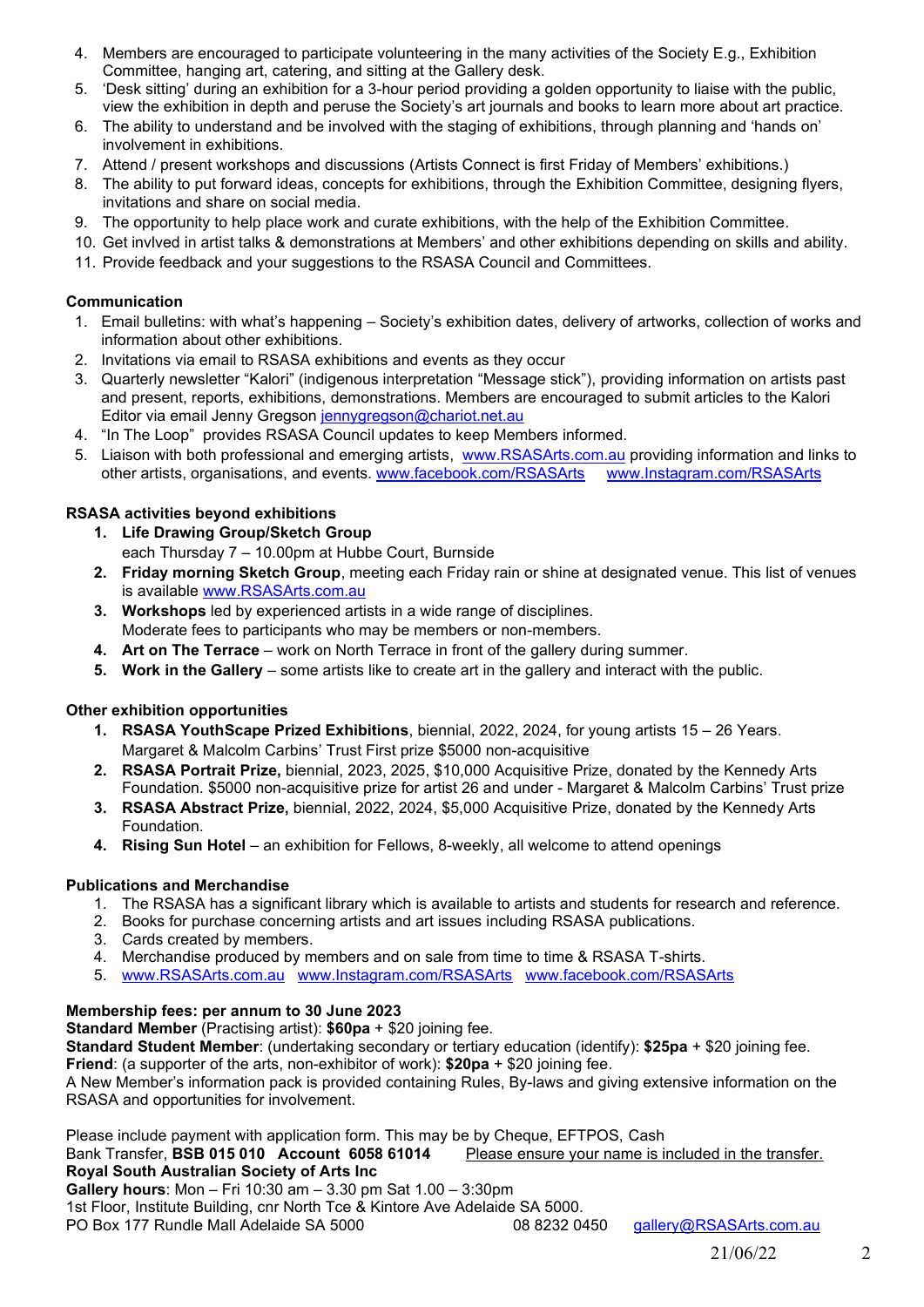- 4. Members are encouraged to participate volunteering in the many activities of the Society E.g., Exhibition Committee, hanging art, catering, and sitting at the Gallery desk.
- 5. 'Desk sitting' during an exhibition for a 3-hour period providing a golden opportunity to liaise with the public, view the exhibition in depth and peruse the Society's art journals and books to learn more about art practice.
- 6. The ability to understand and be involved with the staging of exhibitions, through planning and 'hands on' involvement in exhibitions.
- 7. Attend / present workshops and discussions (Artists Connect is first Friday of Members' exhibitions.)
- 8. The ability to put forward ideas, concepts for exhibitions, through the Exhibition Committee, designing flyers, invitations and share on social media.
- 9. The opportunity to help place work and curate exhibitions, with the help of the Exhibition Committee.
- 10. Get invlved in artist talks & demonstrations at Members' and other exhibitions depending on skills and ability.
- 11. Provide feedback and your suggestions to the RSASA Council and Committees.

#### **Communication**

- 1. Email bulletins: with what's happening Society's exhibition dates, delivery of artworks, collection of works and information about other exhibitions.
- 2. Invitations via email to RSASA exhibitions and events as they occur
- 3. Quarterly newsletter "Kalori" (indigenous interpretation "Message stick"), providing information on artists past and present, reports, exhibitions, demonstrations. Members are encouraged to submit articles to the Kalori Editor via email Jenny Gregson [jennygregson@chariot.net.au](mailto:jennygregson@chariot.net.au)
- 4. "In The Loop" provides RSASA Council updates to keep Members informed.
- 5. Liaison with both professional and emerging artists, [www.RSASArts.com.au](http://www.rsasarts.com.au/) providing information and links to other artists, organisations, and events. [www.facebook.com/RSASArts](http://www.facebook.com/RSASArts) [www.Instagram.com/RSASArts](http://www.instagram.com/RSASArts)

#### **RSASA activities beyond exhibitions**

- **1. Life Drawing Group/Sketch Group**  each Thursday 7 – 10.00pm at Hubbe Court, Burnside
- **2. Friday morning Sketch Group**, meeting each Friday rain or shine at designated venue. This list of venues is available [www.RSASArts.com.au](http://www.rsasarts.com.au/)
- **3. Workshops** led by experienced artists in a wide range of disciplines. Moderate fees to participants who may be members or non-members.
- **4. Art on The Terrace** work on North Terrace in front of the gallery during summer.
- **5. Work in the Gallery** some artists like to create art in the gallery and interact with the public.

#### **Other exhibition opportunities**

- **1. RSASA YouthScape Prized Exhibitions**, biennial, 2022, 2024, for young artists 15 26 Years. Margaret & Malcolm Carbins' Trust First prize \$5000 non-acquisitive
- **2. RSASA Portrait Prize,** biennial, 2023, 2025, \$10,000 Acquisitive Prize, donated by the Kennedy Arts Foundation. \$5000 non-acquisitive prize for artist 26 and under - Margaret & Malcolm Carbins' Trust prize
- **3. RSASA Abstract Prize,** biennial, 2022, 2024, \$5,000 Acquisitive Prize, donated by the Kennedy Arts Foundation.
- **4. Rising Sun Hotel** an exhibition for Fellows, 8-weekly, all welcome to attend openings

#### **Publications and Merchandise**

- 1. The RSASA has a significant library which is available to artists and students for research and reference.
- 2. Books for purchase concerning artists and art issues including RSASA publications.
- 3. Cards created by members.
- 4. Merchandise produced by members and on sale from time to time & RSASA T-shirts.
- 5. [www.RSASArts.com.au](http://www.rsasarts.com.au/) [www.Instagram.com/RSASArts](http://www.instagram.com/RSASArts) [www.facebook.com/RSASArts](http://www.facebook.com/RSASArts)

#### **Membership fees: per annum to 30 June 2023**

**Standard Member** (Practising artist): **\$60pa** + \$20 joining fee.

**Standard Student Member**: (undertaking secondary or tertiary education (identify): **\$25pa** + \$20 joining fee. **Friend:** (a supporter of the arts, non-exhibitor of work): \$20pa + \$20 joining fee.

A New Member's information pack is provided containing Rules, By-laws and giving extensive information on the RSASA and opportunities for involvement.

Please include payment with application form. This may be by Cheque, EFTPOS, Cash

Bank Transfer, **BSB 015 010 Account 6058 61014** Please ensure your name is included in the transfer. **Royal South Australian Society of Arts Inc**

**Gallery hours**: Mon – Fri 10:30 am – 3.30 pm Sat 1.00 – 3:30pm

1st Floor, Institute Building, cnr North Tce & Kintore Ave Adelaide SA 5000.

PO Box 177 Rundle Mall Adelaide SA 5000 08 8232 0450 gallery@RSASArts.com.au